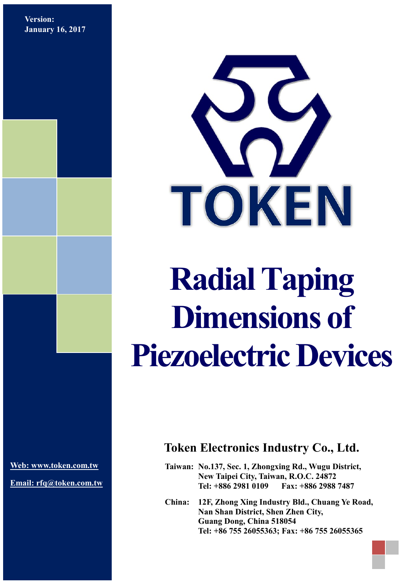**Version: January 16, 2017**



# **Radial Taping Dimensions of Piezoelectric Devices**

**[Web: www.token.com.tw](http://www.token.com.tw/)**

**Email: rfq@token.com.tw**

## **Token Electronics Industry Co., Ltd.**

**Taiwan: No.137, Sec. 1, Zhongxing Rd., Wugu District, New Taipei City, Taiwan, R.O.C. 24872 Tel: +886 2981 0109 Fax: +886 2988 7487**

**China: 12F, Zhong Xing Industry Bld., Chuang Ye Road, Nan Shan District, Shen Zhen City, Guang Dong, China 518054 Tel: +86 755 26055363; Fax: +86 755 26055365**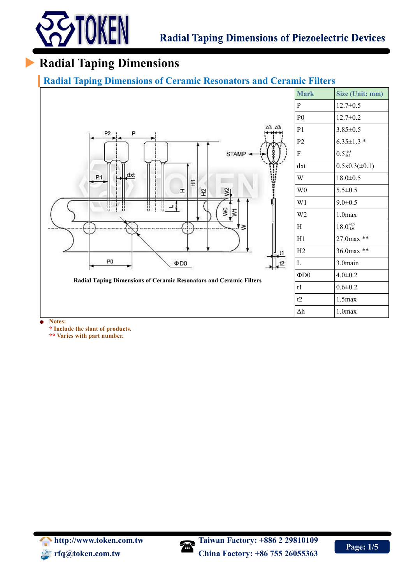

## **Radial Taping Dimensions**

#### **Radial Taping Dimensions of Ceramic Resonators and Ceramic Filters**



**\* Include the slant of products.**

**\*\* Varies with part number.**

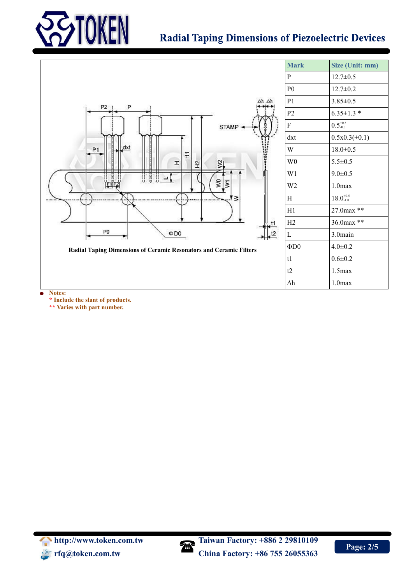

## **Radial Taping Dimensions of Piezoelectric Devices**



**\*\* Varies with part number.**

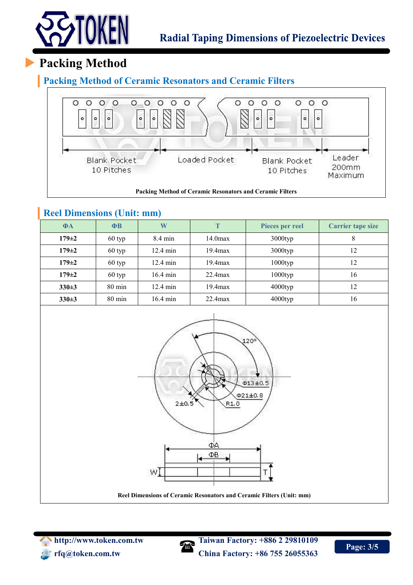

# **Packing Method**

#### **Packing Method of Ceramic Resonators and Ceramic Filters**



**Packing Method of Ceramic Resonators and Ceramic Filters**

#### **Reel Dimensions (Unit: mm)**

| $\Phi$ A    | $\Phi$ B         | W                  | Т<br>Pieces per reel |            | <b>Carrier tape size</b> |  |
|-------------|------------------|--------------------|----------------------|------------|--------------------------|--|
| $179 \pm 2$ | 60 typ           | $8.4 \text{ min}$  | 14.0 <sub>max</sub>  | $3000$ typ | 8                        |  |
| $179 \pm 2$ | 60 typ           | $12.4 \text{ min}$ | $19.4$ $max$         | $3000$ typ | 12                       |  |
| $179 \pm 2$ | 60 typ           | $12.4 \text{ min}$ | $19.4$ $max$         | $1000$ typ | 12                       |  |
| $179 \pm 2$ | 60 typ           | $16.4 \text{ min}$ | $22.4$ max           | $1000$ typ | 16                       |  |
| $330 \pm 3$ | $80 \text{ min}$ | 12.4 min           | $19.4$ $max$         | $4000$ typ | 12                       |  |
| $330+3$     | 80 min           | $16.4 \text{ min}$ | $22.4$ max           | 4000typ    | 16                       |  |



**Reel Dimensions of Ceramic Resonators and Ceramic Filters (Unit: mm)**





**http://www.token.com/margind/2 29810109 rfq@token.com.tw China Factory: +86 755 26055363**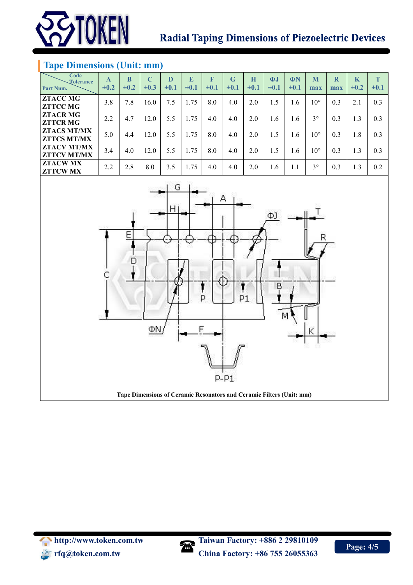

## **Radial Taping Dimensions of Piezoelectric Devices**

#### **Tape Dimensions (Unit: mm)**

| Code<br><b>Tolerance</b><br>Part Num.    | A<br>$\pm 0.2$ | B<br>$\pm 0.2$ | $\mathbf C$<br>$\pm 0.3$ | D<br>$\pm 0.1$ | E<br>$\pm 0.1$ | F<br>$\pm 0.1$ | $\mathbf G$<br>$\pm 0.1$ | H<br>$\pm 0.1$ | $\Phi$<br>$\pm 0.1$ | ΦN<br>$\pm 0.1$ | M<br>max     | R<br>max | K<br>$\pm 0.2$ | T<br>$\pm 0.1$ |
|------------------------------------------|----------------|----------------|--------------------------|----------------|----------------|----------------|--------------------------|----------------|---------------------|-----------------|--------------|----------|----------------|----------------|
| <b>ZTACC MG</b><br><b>ZTTCC MG</b>       | 3.8            | 7.8            | 16.0                     | 7.5            | 1.75           | 8.0            | 4.0                      | 2.0            | 1.5                 | 1.6             | $10^{\circ}$ | 0.3      | 2.1            | 0.3            |
| <b>ZTACR MG</b><br><b>ZTTCR MG</b>       | 2.2            | 4.7            | 12.0                     | 5.5            | l.75           | 4.0            | 4.0                      | 2.0            | 1.6                 | 1.6             | $3^\circ$    | 0.3      | 1.3            | 0.3            |
| <b>ZTACS MT/MX</b><br><b>ZTTCS MT/MX</b> | 5.0            | 4.4            | 12.0                     | 5.5            | 1.75           | 8.0            | 4.0                      | 2.0            | 1.5                 | 1.6             | $10^{\circ}$ | 0.3      | 1.8            | 0.3            |
| <b>ZTACV MT/MX</b><br><b>ZTTCV MT/MX</b> | 3.4            | 4.0            | 12.0                     | 5.5            | 1.75           | 8.0            | 4.0                      | 2.0            | 1.5                 | 1.6             | $10^{\circ}$ | 0.3      | 1.3            | 0.3            |
| <b>ZTACWMX</b><br><b>ZTTCWMX</b>         | 2.2            | 2.8            | 8.0                      | 3.5            | 1.75           | 4.0            | 4.0                      | 2.0            | 1.6                 | 1.1             | $3^{\circ}$  | 0.3      | 1.3            | 0.2            |



http://www.token.com.tw<br> **Comment of the end of the end of the end of the end of the end of the end of the end of the end of the end of the end of the end of the end of the end of the end of the end of the end of the end o**